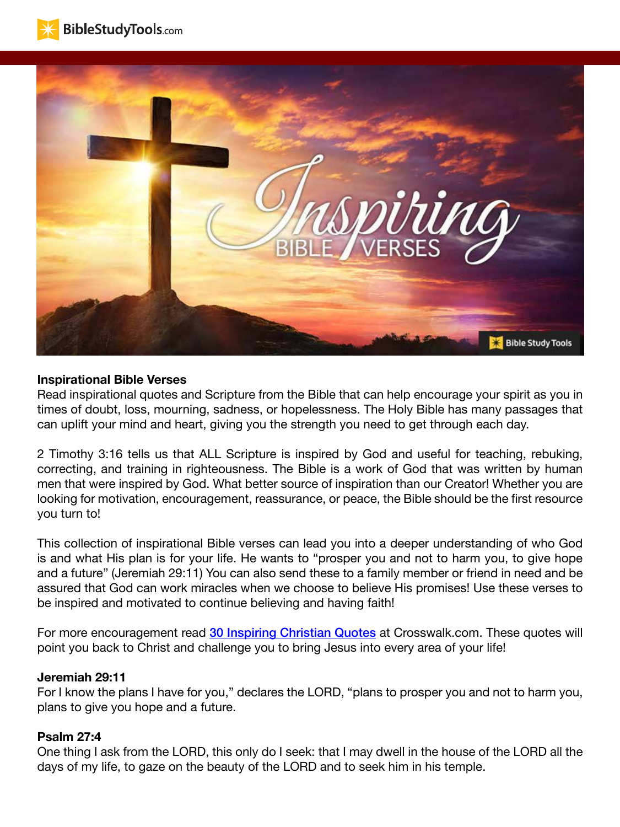



#### **Inspirational Bible Verses**

Read inspirational quotes and Scripture from the Bible that can help encourage your spirit as you in times of doubt, loss, mourning, sadness, or hopelessness. The Holy Bible has many passages that can uplift your mind and heart, giving you the strength you need to get through each day.

2 Timothy 3:16 tells us that ALL Scripture is inspired by God and useful for teaching, rebuking, correcting, and training in righteousness. The Bible is a work of God that was written by human men that were inspired by God. What better source of inspiration than our Creator! Whether you are looking for motivation, encouragement, reassurance, or peace, the Bible should be the first resource you turn to!

This collection of inspirational Bible verses can lead you into a deeper understanding of who God is and what His plan is for your life. He wants to "prosper you and not to harm you, to give hope and a future" (Jeremiah 29:11) You can also send these to a family member or friend in need and be assured that God can work miracles when we choose to believe His promises! Use these verses to be inspired and motivated to continue believing and having faith!

For more encouragement read [30 Inspiring Christian Quotes](https://www.crosswalk.com/faith/spiritual-life/inspiring-quotes/30-inspiring-christian-quotes.html) at Crosswalk.com. These quotes will point you back to Christ and challenge you to bring Jesus into every area of your life!

#### **Jeremiah 29:11**

For I know the plans I have for you," declares the LORD, "plans to prosper you and not to harm you, plans to give you hope and a future.

#### **Psalm 27:4**

One thing I ask from the LORD, this only do I seek: that I may dwell in the house of the LORD all the days of my life, to gaze on the beauty of the LORD and to seek him in his temple.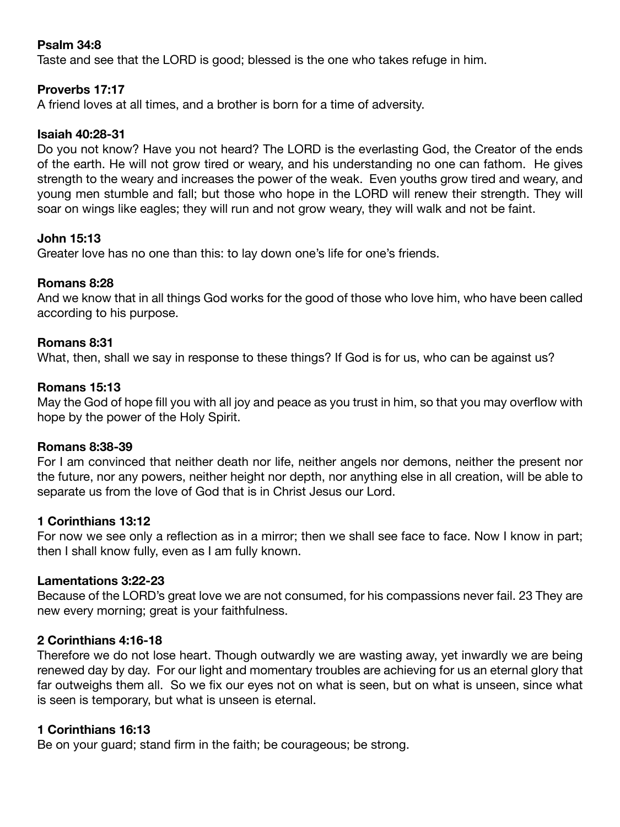## **Psalm 34:8**

Taste and see that the LORD is good; blessed is the one who takes refuge in him.

## **Proverbs 17:17**

A friend loves at all times, and a brother is born for a time of adversity.

### **Isaiah 40:28-31**

Do you not know? Have you not heard? The LORD is the everlasting God, the Creator of the ends of the earth. He will not grow tired or weary, and his understanding no one can fathom. He gives strength to the weary and increases the power of the weak. Even youths grow tired and weary, and young men stumble and fall; but those who hope in the LORD will renew their strength. They will soar on wings like eagles; they will run and not grow weary, they will walk and not be faint.

## **John 15:13**

Greater love has no one than this: to lay down one's life for one's friends.

## **Romans 8:28**

And we know that in all things God works for the good of those who love him, who have been called according to his purpose.

### **Romans 8:31**

What, then, shall we say in response to these things? If God is for us, who can be against us?

### **Romans 15:13**

May the God of hope fill you with all joy and peace as you trust in him, so that you may overflow with hope by the power of the Holy Spirit.

#### **Romans 8:38-39**

For I am convinced that neither death nor life, neither angels nor demons, neither the present nor the future, nor any powers, neither height nor depth, nor anything else in all creation, will be able to separate us from the love of God that is in Christ Jesus our Lord.

#### **1 Corinthians 13:12**

For now we see only a reflection as in a mirror; then we shall see face to face. Now I know in part; then I shall know fully, even as I am fully known.

#### **Lamentations 3:22-23**

Because of the LORD's great love we are not consumed, for his compassions never fail. 23 They are new every morning; great is your faithfulness.

## **2 Corinthians 4:16-18**

Therefore we do not lose heart. Though outwardly we are wasting away, yet inwardly we are being renewed day by day. For our light and momentary troubles are achieving for us an eternal glory that far outweighs them all. So we fix our eyes not on what is seen, but on what is unseen, since what is seen is temporary, but what is unseen is eternal.

## **1 Corinthians 16:13**

Be on your guard; stand firm in the faith; be courageous; be strong.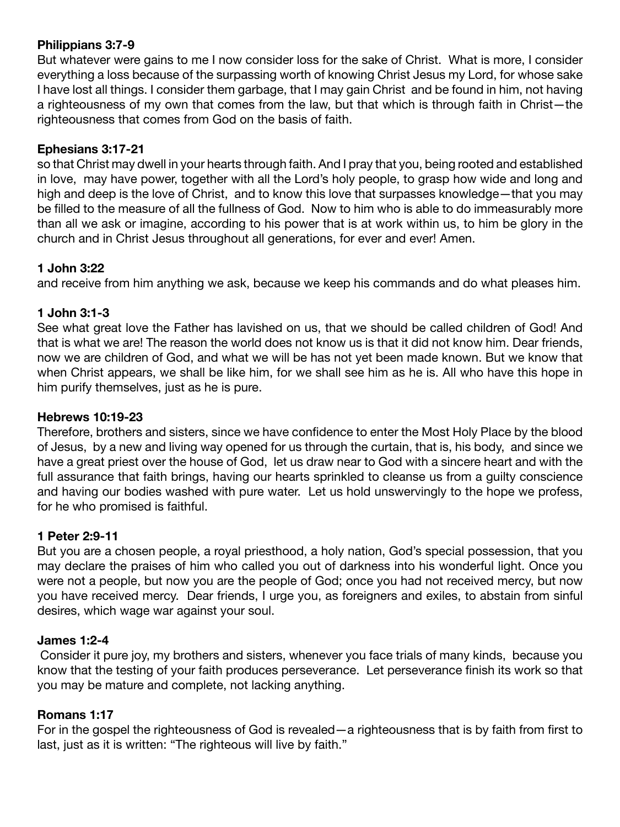# **Philippians 3:7-9**

But whatever were gains to me I now consider loss for the sake of Christ. What is more, I consider everything a loss because of the surpassing worth of knowing Christ Jesus my Lord, for whose sake I have lost all things. I consider them garbage, that I may gain Christ and be found in him, not having a righteousness of my own that comes from the law, but that which is through faith in Christ—the righteousness that comes from God on the basis of faith.

# **Ephesians 3:17-21**

so that Christ may dwell in your hearts through faith. And I pray that you, being rooted and established in love, may have power, together with all the Lord's holy people, to grasp how wide and long and high and deep is the love of Christ, and to know this love that surpasses knowledge—that you may be filled to the measure of all the fullness of God. Now to him who is able to do immeasurably more than all we ask or imagine, according to his power that is at work within us, to him be glory in the church and in Christ Jesus throughout all generations, for ever and ever! Amen.

# **1 John 3:22**

and receive from him anything we ask, because we keep his commands and do what pleases him.

# **1 John 3:1-3**

See what great love the Father has lavished on us, that we should be called children of God! And that is what we are! The reason the world does not know us is that it did not know him. Dear friends, now we are children of God, and what we will be has not yet been made known. But we know that when Christ appears, we shall be like him, for we shall see him as he is. All who have this hope in him purify themselves, just as he is pure.

# **Hebrews 10:19-23**

Therefore, brothers and sisters, since we have confidence to enter the Most Holy Place by the blood of Jesus, by a new and living way opened for us through the curtain, that is, his body, and since we have a great priest over the house of God, let us draw near to God with a sincere heart and with the full assurance that faith brings, having our hearts sprinkled to cleanse us from a guilty conscience and having our bodies washed with pure water. Let us hold unswervingly to the hope we profess, for he who promised is faithful.

# **1 Peter 2:9-11**

But you are a chosen people, a royal priesthood, a holy nation, God's special possession, that you may declare the praises of him who called you out of darkness into his wonderful light. Once you were not a people, but now you are the people of God; once you had not received mercy, but now you have received mercy. Dear friends, I urge you, as foreigners and exiles, to abstain from sinful desires, which wage war against your soul.

# **James 1:2-4**

 Consider it pure joy, my brothers and sisters, whenever you face trials of many kinds, because you know that the testing of your faith produces perseverance. Let perseverance finish its work so that you may be mature and complete, not lacking anything.

# **Romans 1:17**

For in the gospel the righteousness of God is revealed—a righteousness that is by faith from first to last, just as it is written: "The righteous will live by faith."